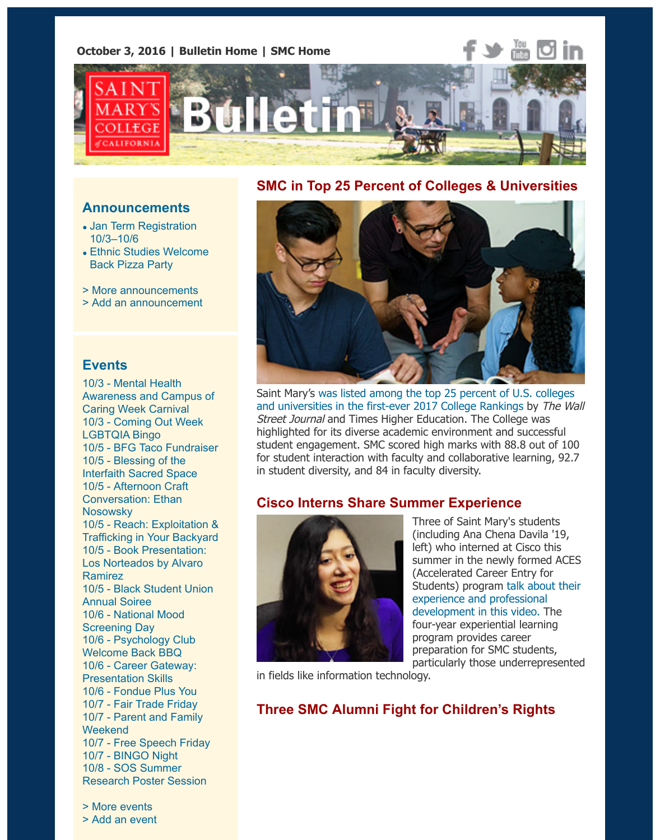

# **SMC in Top 25 Percent of Colleges & Universities**



[Saint Mary's was listed among the top 25 percent of U.S. colleges](http://www.stmarys-ca.edu/wall-street-journal-ranks-saint-mary%E2%80%99s-among-top-25-percent-of-us-higher-ed-institutions-0?utm_source=Bulletin&utm_medium=email&utm_content=feature_test&utm_campaign=10-03-2016) and universities in the first-ever 2017 College Rankings by The Wall Street Journal and Times Higher Education. The College was highlighted for its diverse academic environment and successful student engagement. SMC scored high marks with 88.8 out of 100 for student interaction with faculty and collaborative learning, 92.7 in student diversity, and 84 in faculty diversity.

### **Cisco Interns Share Summer Experience**



Three of Saint Mary's students (including Ana Chena Davila '19, left) who interned at Cisco this summer in the newly formed ACES (Accelerated Career Entry for [Students\) program talk about their](https://www.youtube.com/watch?v=88uA5SkDNXc&feature=youtu.be) experience and professional development in this video. The four-year experiential learning program provides career preparation for SMC students, particularly those underrepresented

in fields like information technology.

## **Three SMC Alumni Fight for Children's Rights**

**Announcements**

- [Jan Term Registration](http://www.stmarys-ca.edu/jan-term-registration-is-103-106?utm_source=Bulletin&utm_medium=email&utm_content=announcement_test&utm_campaign=10-03-2016) 10/3–10/6
- [Ethnic Studies Welcome](http://www.stmarys-ca.edu/oct-5-weds-1-230pm-ethnic-studies-welcome-back-pizza-party?utm_source=Bulletin&utm_medium=email&utm_content=announcement_test&utm_campaign=10-03-2016) Back Pizza Party
- [> More announcements](http://www.stmarys-ca.edu/smc-bulletin/announcements?utm_source=Bulletin&utm_medium=email&utm_content=announcement_test&utm_campaign=10-03-2016)
- [> Add an announcement](http://www.stmarys-ca.edu/node/add/announcement?utm_source=Bulletin&utm_medium=email&utm_content=announcement_test&utm_campaign=10-03-2016)

### **Events**

10/3 - Mental Health [Awareness and Campus of](http://www.stmarys-ca.edu/mental-health-awareness-and-campus-of-caring-week-carnival?utm_source=Bulletin&utm_medium=email&utm_content=event_test&utm_campaign=10-03-2016) Caring Week Carnival 10/3 [- Coming Out Week](http://www.stmarys-ca.edu/coming-out-week-lgbtqia-bingo?utm_source=Bulletin&utm_medium=email&utm_content=event_test&utm_campaign=10-03-2016) LGBTQIA Bingo 10/5 - [BFG Taco Fundraiser](http://www.stmarys-ca.edu/bfg-taco-fundraiser?utm_source=Bulletin&utm_medium=email&utm_content=event_test&utm_campaign=10-03-2016) 10/5 - Blessing of the [Interfaith Sacred Space](http://www.stmarys-ca.edu/blessing-of-the-interfaith-sacred-space?hd=2016-10-05%2013:00?utm_source=Bulletin&utm_medium=email&utm_content=event_test&utm_campaign=10-03-2016) [10/5 - Afternoon Craft](http://www.stmarys-ca.edu/afternoon-craft-conversation?utm_source=Bulletin&utm_medium=email&utm_content=event_test&utm_campaign=10-03-2016) Conversation: Ethan **Nosowsky** [10/5 - Reach: Exploitation &](http://www.stmarys-ca.edu/reach-exploitation-trafficking-in-your-backyard?utm_source=Bulletin&utm_medium=email&utm_content=event_test&utm_campaign=10-03-2016) Trafficking in Your Backyard [10/5 - Book Presentation:](http://www.stmarys-ca.edu/book-presentation-los-norteados-written-by-prof-alvaro-ramirez?utm_source=Bulletin&utm_medium=email&utm_content=event_test&utm_campaign=10-03-2016) Los Norteados by Alvaro Ramirez [10/5 - Black Student Union](http://www.stmarys-ca.edu/black-student-union-annual-soriee?utm_source=Bulletin&utm_medium=email&utm_content=event_test&utm_campaign=10-03-2016) Annual Soiree [10/6 - National Mood](http://www.stmarys-ca.edu/national-mood-screening-day?utm_source=Bulletin&utm_medium=email&utm_content=event_test&utm_campaign=10-03-2016) Screening Day [10/6 - Psychology Club](http://www.stmarys-ca.edu/psychology-club-welcome-back-bbq?utm_source=Bulletin&utm_medium=email&utm_content=event_test&utm_campaign=10-03-2016) Welcome Back BBQ [10/6 - Career Gateway:](http://www.stmarys-ca.edu/career-gateway-presentation-skills-0?utm_source=Bulletin&utm_medium=email&utm_content=event_test&utm_campaign=10-03-2016) Presentation Skills 10/6 - [Fondue Plus You](http://www.stmarys-ca.edu/fondue-plus-you?utm_source=Bulletin&utm_medium=email&utm_content=event_test&utm_campaign=10-03-2016) 10/7 - [Fair Trade Friday](http://www.stmarys-ca.edu/fair-trade-friday-0?utm_source=Bulletin&utm_medium=email&utm_content=event_test&utm_campaign=10-03-2016) [10/7 - Parent and Family](http://www.stmarys-ca.edu/parent-and-family-weekend?utm_source=Bulletin&utm_medium=email&utm_content=event_test&utm_campaign=10-03-2016) **Weekend** 10/7 - [Free Speech Friday](http://www.stmarys-ca.edu/feel-good-friday-1?utm_source=Bulletin&utm_medium=email&utm_content=event_test&utm_campaign=10-03-2016) 10/7 - [BINGO Night](http://www.stmarys-ca.edu/bingo-night-0?utm_source=Bulletin&utm_medium=email&utm_content=event_test&utm_campaign=10-03-2016) 10/8 - SOS Summer [Research Poster Session](http://www.stmarys-ca.edu/the-31st-school-of-science-summer-research-program-student-poster-session?utm_source=Bulletin&utm_medium=email&utm_content=event_test&utm_campaign=10-03-2016)

[> More events](http://www.stmarys-ca.edu/events?utm_source=Bulletin&utm_medium=email&utm_content=event_test&utm_campaign=10-03-2016) [> Add an event](http://www.stmarys-ca.edu/node/add/calendar-event?utm_source=Bulletin&utm_medium=email&utm_content=event_test&utm_campaign=10-03-2016)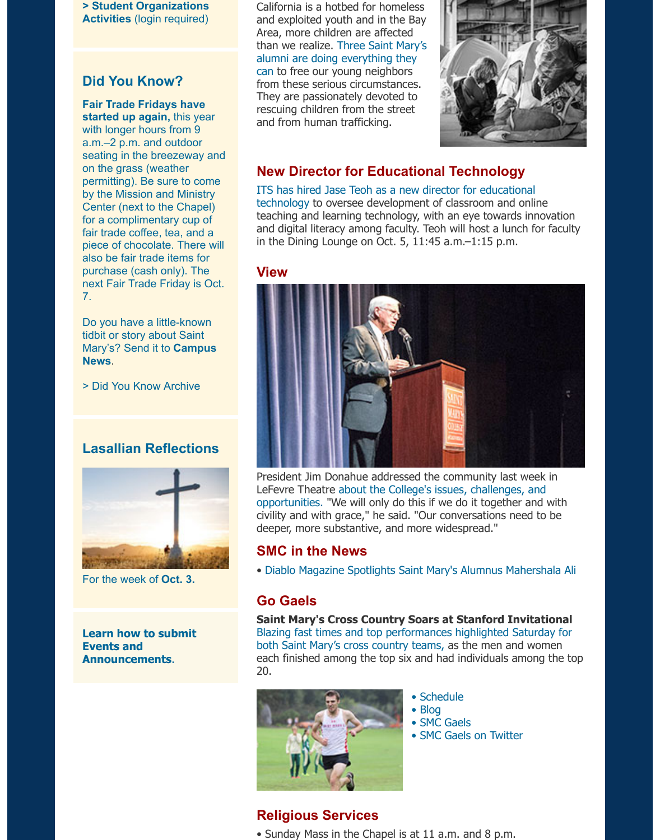**[> Student Organizations](https://stmarys-ca-community.symplicity.com/) Activities** (login required)

## **Did You Know?**

**[Fair Trade Fridays have](http://www.stmarys-ca.edu/fair-trade-friday-0?utm_source=Bulletin&utm_medium=email&utm_content=sidebar_test&utm_campaign=10-03-2016) started up again,** this year with longer hours from 9 a.m.–2 p.m. and outdoor seating in the breezeway and on the grass (weather permitting). Be sure to come by the Mission and Ministry Center (next to the Chapel) for a complimentary cup of fair trade coffee, tea, and a piece of chocolate. There will also be fair trade items for purchase (cash only). The next Fair Trade Friday is Oct. 7.

Do you have a little-known tidbit or story about Saint [Mary's? Send it to](mailto:news@stmarys-ca.edu) **Campus News**.

[> Did You Know Archive](http://www.stmarys-ca.edu/smc-bulletin/did-you-know-0?utm_source=Bulletin&utm_medium=email&utm_content=sidebar_test&utm_campaign=10-03-2016)

## **Lasallian Reflections**



For the week of **[Oct. 3.](http://www.stmarys-ca.edu/living-lasallian/lasallian-reflections?utm_source=Bulletin&utm_medium=email&utm_content=sidebar_test&utm_campaign=10-03-2016)**

**[Learn how to submit](http://www.stmarys-ca.edu/smc-bulletin/faqs?utm_source=Bulletin&utm_medium=email&utm_content=sidebar_test&utm_campaign=10-03-2016) Events and Announcements**.

California is a hotbed for homeless and exploited youth and in the Bay Area, more children are affected [than we realize. Three Saint Mary's](https://www.stmarys-ca.edu/young-lost-and-exploited?utm_source=Bulletin&utm_medium=email&utm_content=feature_test&utm_campaign=10-03-2016) alumni are doing everything they can to free our young neighbors from these serious circumstances. They are passionately devoted to rescuing children from the street and from human trafficking.



## **New Director for Educational Technology**

[ITS has hired Jase Teoh as a new director for educational](http://www.stmarys-ca.edu/welcome-dr-jase-teoh?utm_source=Bulletin&utm_medium=email&utm_content=feature_test&utm_campaign=10-03-2016) technology to oversee development of classroom and online teaching and learning technology, with an eye towards innovation and digital literacy among faculty. Teoh will host a lunch for faculty in the Dining Lounge on Oct. 5, 11:45 a.m.–1:15 p.m.

#### **View**



President Jim Donahue addressed the community last week in [LeFevre Theatre about the College's issues, challenges, and](http://www.stmarys-ca.edu/the-president%E2%80%99s-address-to-the-college?utm_source=Bulletin&utm_medium=email&utm_content=feature_test&utm_campaign=10-03-2016) opportunities. "We will only do this if we do it together and with civility and with grace," he said. "Our conversations need to be deeper, more substantive, and more widespread."

### **SMC in the News**

• [Diablo Magazine Spotlights Saint Mary's Alumnus Mahershala Ali](http://www.stmarys-ca.edu/diablo-magazine-spotlights-saint-marys-alumnus-mahershala-ali?utm_source=Bulletin&utm_medium=email&utm_content=feature_test&utm_campaign=10-03-2016)

### **Go Gaels**

**Saint Mary's Cross Country Soars at Stanford Invitational** [Blazing fast times and top performances highlighted Saturday for](http://www.smcgaels.com/ViewArticle.dbml?DB_OEM_ID=21400&ATCLID=211201518) both Saint Mary's cross country teams, as the men and women each finished among the top six and had individuals among the top 20.



- • [Schedule](http://www.smcgaels.com/main/Schedule.dbml)
- • [Blog](http://smcgaels.wordpress.com/)
- • [SMC Gaels](http://www.smcgaels.com/)
- • [SMC Gaels on Twitter](https://twitter.com/smcgaels)

## **Religious Services**

• Sunday Mass in the Chapel is at 11 a.m. and 8 p.m.